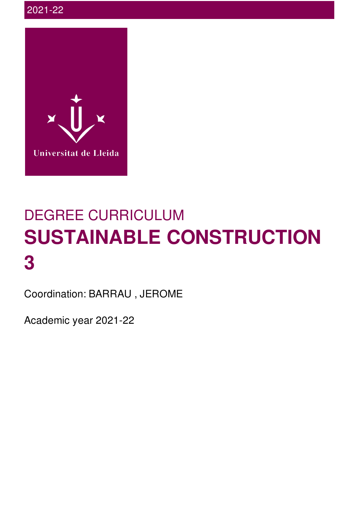

# DEGREE CURRICULUM **SUSTAINABLE CONSTRUCTION 3**

Coordination: BARRAU , JEROME

Academic year 2021-22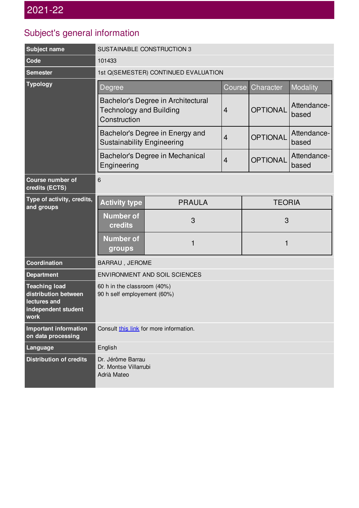## Subject's general information

| <b>Subject name</b>                                                                         | SUSTAINABLE CONSTRUCTION 3                                                                                           |                |                 |                      |                      |  |  |
|---------------------------------------------------------------------------------------------|----------------------------------------------------------------------------------------------------------------------|----------------|-----------------|----------------------|----------------------|--|--|
| Code                                                                                        | 101433                                                                                                               |                |                 |                      |                      |  |  |
| <b>Semester</b>                                                                             | 1st Q(SEMESTER) CONTINUED EVALUATION                                                                                 |                |                 |                      |                      |  |  |
| <b>Typology</b>                                                                             | <b>Degree</b><br>Course<br>Bachelor's Degree in Architectural<br><b>Technology and Building</b><br>4<br>Construction |                |                 | Character            | Modality             |  |  |
|                                                                                             |                                                                                                                      |                |                 | <b>OPTIONAL</b>      | Attendance-<br>based |  |  |
|                                                                                             | Bachelor's Degree in Energy and<br><b>Sustainability Engineering</b>                                                 | $\overline{4}$ | <b>OPTIONAL</b> | Attendance-<br>based |                      |  |  |
|                                                                                             | Bachelor's Degree in Mechanical<br>$\overline{4}$<br>Engineering                                                     |                |                 | <b>OPTIONAL</b>      | Attendance-<br>based |  |  |
| <b>Course number of</b><br>credits (ECTS)                                                   | 6                                                                                                                    |                |                 |                      |                      |  |  |
| Type of activity, credits,<br>and groups                                                    | <b>Activity type</b>                                                                                                 | <b>PRAULA</b>  |                 | <b>TEORIA</b>        |                      |  |  |
|                                                                                             | <b>Number of</b><br>3<br>credits                                                                                     |                |                 | 3                    |                      |  |  |
|                                                                                             | <b>Number of</b><br>groups                                                                                           | 1              |                 | $\mathbf{1}$         |                      |  |  |
| Coordination                                                                                | <b>BARRAU, JEROME</b>                                                                                                |                |                 |                      |                      |  |  |
| <b>Department</b>                                                                           | ENVIRONMENT AND SOIL SCIENCES                                                                                        |                |                 |                      |                      |  |  |
| <b>Teaching load</b><br>distribution between<br>lectures and<br>independent student<br>work | 60 h in the classroom (40%)<br>90 h self employement (60%)                                                           |                |                 |                      |                      |  |  |
| <b>Important information</b><br>on data processing                                          | Consult this link for more information.                                                                              |                |                 |                      |                      |  |  |
| Language                                                                                    | English                                                                                                              |                |                 |                      |                      |  |  |
| <b>Distribution of credits</b>                                                              | Dr. Jérôme Barrau<br>Dr. Montse Villarrubi<br>Adrià Mateo                                                            |                |                 |                      |                      |  |  |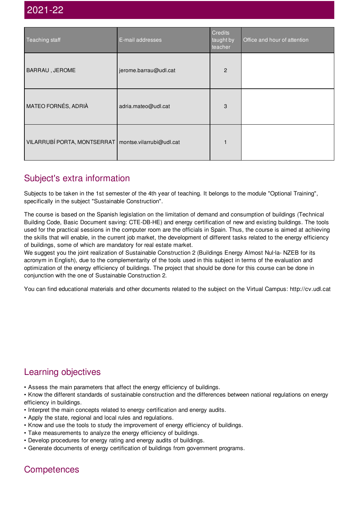| Teaching staff                                         | E-mail addresses      | Credits<br>taught by<br>teacher | Office and hour of attention |
|--------------------------------------------------------|-----------------------|---------------------------------|------------------------------|
| BARRAU, JEROME                                         | jerome.barrau@udl.cat | $\mathbf{2}$                    |                              |
| MATEO FORNÉS, ADRIÀ                                    | adria.mateo@udl.cat   | 3                               |                              |
| VILARRUBÍ PORTA, MONTSERRAT   montse.vilarrubi@udl.cat |                       |                                 |                              |

### Subject's extra information

Subjects to be taken in the 1st semester of the 4th year of teaching. It belongs to the module "Optional Training", specifically in the subject "Sustainable Construction".

The course is based on the Spanish legislation on the limitation of demand and consumption of buildings (Technical Building Code, Basic Document saving: CTE-DB-HE) and energy certification of new and existing buildings. The tools used for the practical sessions in the computer room are the officials in Spain. Thus, the course is aimed at achieving the skills that will enable, in the current job market, the development of different tasks related to the energy efficiency of buildings, some of which are mandatory for real estate market.

We suggest you the joint realization of Sustainable Construction 2 (Buildings Energy Almost Nul·la-NZEB for its acronym in English), due to the complementarity of the tools used in this subject in terms of the evaluation and optimization of the energy efficiency of buildings. The project that should be done for this course can be done in conjunction with the one of Sustainable Construction 2.

You can find educational materials and other documents related to the subject on the Virtual Campus: http://cv.udl.cat

### Learning objectives

• Assess the main parameters that affect the energy efficiency of buildings.

• Know the different standards of sustainable construction and the differences between national regulations on energy efficiency in buildings.

- Interpret the main concepts related to energy certification and energy audits.
- Apply the state, regional and local rules and regulations.
- Know and use the tools to study the improvement of energy efficiency of buildings.
- Take measurements to analyze the energy efficiency of buildings.
- Develop procedures for energy rating and energy audits of buildings.
- Generate documents of energy certification of buildings from government programs.

### **Competences**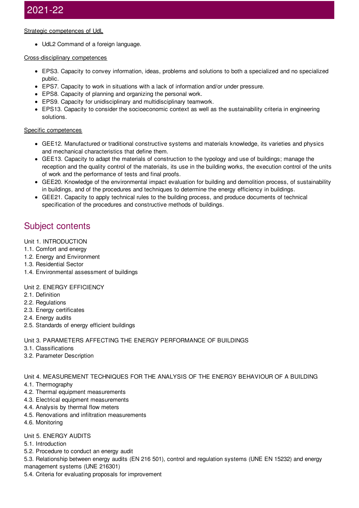#### Strategic competences of UdL

• UdL2 Command of a foreign language.

#### Cross-disciplinary competences

- EPS3. Capacity to convey information, ideas, problems and solutions to both a specialized and no specialized public.
- EPS7. Capacity to work in situations with a lack of information and/or under pressure.
- EPS8. Capacity of planning and organizing the personal work.
- EPS9. Capacity for unidisciplinary and multidisciplinary teamwork.
- EPS13. Capacity to consider the socioeconomic context as well as the sustainability criteria in engineering solutions.

#### Specific competences

- GEE12. Manufactured or traditional constructive systems and materials knowledge, its varieties and physics and mechanical characteristics that define them.
- GEE13. Capacity to adapt the materials of construction to the typology and use of buildings; manage the reception and the quality control of the materials, its use in the building works, the execution control of the units of work and the performance of tests and final proofs.
- GEE20. Knowledge of the environmental impact evaluation for building and demolition process, of sustainability in buildings, and of the procedures and techniques to determine the energy efficiency in buildings.
- GEE21. Capacity to apply technical rules to the building process, and produce documents of technical specification of the procedures and constructive methods of buildings.

### Subject contents

#### Unit 1. INTRODUCTION

- 1.1. Comfort and energy
- 1.2. Energy and Environment
- 1.3. Residential Sector
- 1.4. Environmental assessment of buildings

#### Unit 2. ENERGY EFFICIENCY

- 2.1. Definition
- 2.2. Regulations
- 2.3. Energy certificates
- 2.4. Energy audits
- 2.5. Standards of energy efficient buildings

#### Unit 3. PARAMETERS AFFECTING THE ENERGY PERFORMANCE OF BUILDINGS

- 3.1. Classifications
- 3.2. Parameter Description

Unit 4. MEASUREMENT TECHNIQUES FOR THE ANALYSIS OF THE ENERGY BEHAVIOUR OF A BUILDING

- 4.1. Thermography
- 4.2. Thermal equipment measurements
- 4.3. Electrical equipment measurements
- 4.4. Analysis by thermal flow meters
- 4.5. Renovations and infiltration measurements
- 4.6. Monitoring

#### Unit 5. ENERGY AUDITS

- 5.1. Introduction
- 5.2. Procedure to conduct an energy audit
- 5.3. Relationship between energy audits (EN 216 501), control and regulation systems (UNE EN 15232) and energy management systems (UNE 216301)
- 5.4. Criteria for evaluating proposals for improvement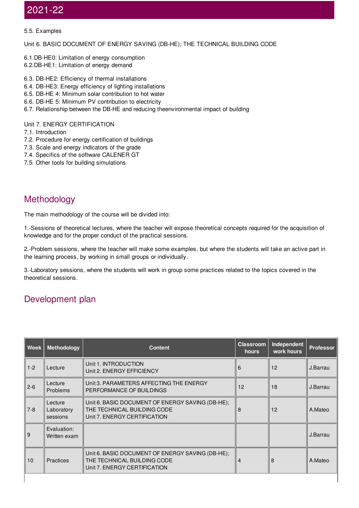5.5. Examples

Unit 6. BASIC DOCUMENT OF ENERGY SAVING (DB-HE); THE TECHNICAL BUILDING CODE

- 6.1.DB-HE0: Limitation of energy consumption
- 6.2.DB-HE1: Limitation of energy demand
- 6.3. DB-HE2: Efficiency of thermal installations
- 6.4. DB-HE3: Energy efficiency of lighting installations
- 6.5. DB-HE 4: Minimum solar contribution to hot water
- 6.6. DB-HE 5: Minimum PV contribution to electricity
- 6.7. Relationship between the DB-HE and reducing theenvironmental impact of building

#### Unit 7. ENERGY CERTIFICATION

- 7.1. Introduction
- 7.2. Procedure for energy certification of buildings
- 7.3. Scale and energy indicators of the grade
- 7.4. Specifics of the software CALENER GT
- 7.5. Other tools for building simulations

### Methodology

The main methodology of the course will be divided into:

1.-Sessions of theoretical lectures, where the teacher will expose theoretical concepts required for the acquisition of knowledge and for the proper conduct of the practical sessions.

2.-Problem sessions, where the teacher will make some examples, but where the students will take an active part in the learning process, by working in small groups or individually.

3.-Laboratory sessions, where the students will work in group some practices related to the topics covered in the theoretical sessions.

### Development plan

| <b>Week</b> | Methodology                       | <b>Content</b>                                                                                                  | <b>Classroom</b><br>hours | Independent<br>work hours | <b>Professor</b> |
|-------------|-----------------------------------|-----------------------------------------------------------------------------------------------------------------|---------------------------|---------------------------|------------------|
| $1 - 2$     | Lecture                           | Unit 1. INTRODUCTION<br>Unit 2. ENERGY EFFICIENCY                                                               | 6                         | 12                        | J.Barrau         |
| $2 - 6$     | Lecture<br>Problems               | Unit 3. PARAMETERS AFFECTING THE ENERGY<br>PERFORMANCE OF BUILDINGS                                             | 12                        | 18                        | J.Barrau         |
| $7 - 8$     | Lecture<br>Laboratory<br>sessions | Unit 6. BASIC DOCUMENT OF ENERGY SAVING (DB-HE);<br>THE TECHNICAL BUILDING CODE<br>Unit 7. ENERGY CERTIFICATION | 8                         | 12                        | A.Mateo          |
| 9           | Evaluation:<br>Written exam       |                                                                                                                 |                           |                           | J.Barrau         |
| 10          | <b>Practices</b>                  | Unit 6. BASIC DOCUMENT OF ENERGY SAVING (DB-HE);<br>THE TECHNICAL BUILDING CODE<br>Unit 7. ENERGY CERTIFICATION | 4                         | 8                         | A.Mateo          |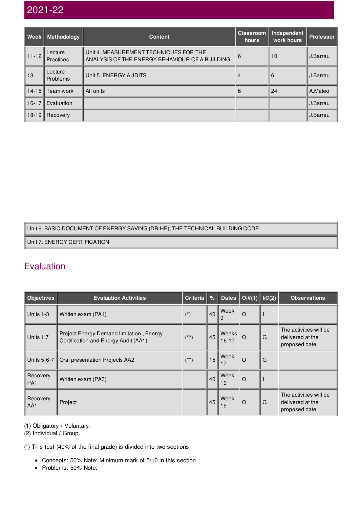| <b>Week</b> | Methodology                 | <b>Content</b>                                                                           | <b>Classroom</b><br>hours | Independent<br>work hours | Professor |
|-------------|-----------------------------|------------------------------------------------------------------------------------------|---------------------------|---------------------------|-----------|
| $11 - 12$   | Lecture<br><b>Practices</b> | Unit 4. MEASUREMENT TECHNIQUES FOR THE<br>ANALYSIS OF THE ENERGY BEHAVIOUR OF A BUILDING | 6                         | 10                        | J.Barrau  |
| 13          | Lecture<br>Problems         | Unit 5. ENERGY AUDITS                                                                    | 4                         | 6                         | J.Barrau  |
|             | 14-15 $\parallel$ Team work | All units                                                                                | 6                         | 24                        | A.Mateo   |
| $16-17$     | Evaluation                  |                                                                                          |                           |                           | J.Barrau  |
| 18-19       | Recovery                    |                                                                                          |                           |                           | J.Barrau  |

Unit 6. BASIC DOCUMENT OF ENERGY SAVING (DB-HE); THE TECHNICAL BUILDING CODE

Unit 7. ENERGY CERTIFICATION

### Evaluation

| Objectives                  | <b>Evaluation Activities</b>                                                     | <b>Criteria</b> | %  | <b>Dates</b>       | O/V(1)   | I/G(2) | <b>Observations</b>                                         |
|-----------------------------|----------------------------------------------------------------------------------|-----------------|----|--------------------|----------|--------|-------------------------------------------------------------|
| Units 1-3                   | Written exam (PA1)                                                               | $(\star)$       | 40 | Week<br>9          | $\circ$  |        |                                                             |
| Units 1.7                   | Project Energy Demand limitation, Energy<br>Certification and Energy Audit (AA1) | $(**)$          | 45 | Weeks<br>$16 - 17$ | $\Omega$ | G      | The activities will be<br>delivered at the<br>proposed date |
| Units 5-6-7                 | Oral presentation Projects AA2                                                   | $(**)$          | 15 | Week<br>17         | $\circ$  | G      |                                                             |
| Recovery<br>PA <sub>1</sub> | Written exam (PA3)                                                               |                 | 40 | Week<br>19         | $\circ$  |        |                                                             |
| Recovery<br>AA1             | Project                                                                          |                 | 45 | Week<br>19         | $\circ$  | G      | The activities will be<br>delivered at the<br>proposed date |

(1) Obligatory / Voluntary.

(2) Individual / Group.

(\*) This test (40% of the final grade) is divided into two sections:

- Concepts: 50% Note: Minimum mark of 5/10 in this section
- Problems: 50% Note.